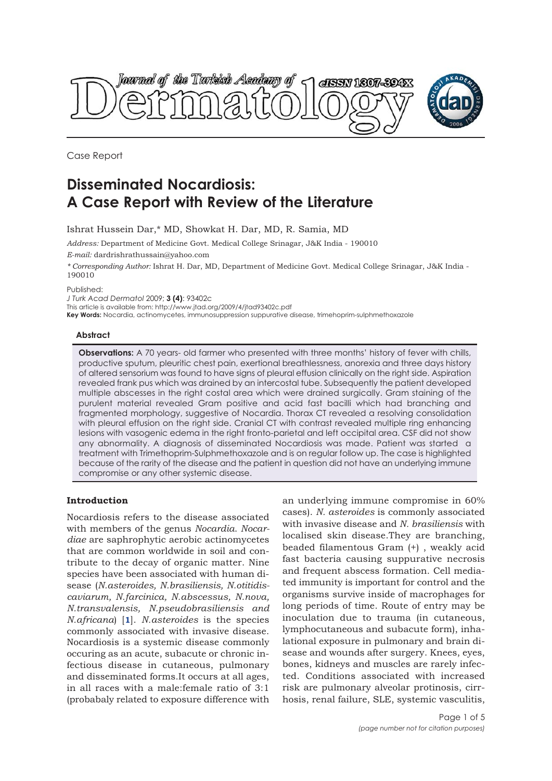



Case Report

# **Disseminated Nocardiosis: A Case Report with Review of the Literature**

Ishrat Hussein Dar,\* MD, Showkat H. Dar, MD, R. Samia, MD

*Address:* Department of Medicine Govt. Medical College Srinagar, J&K India - 190010

*E-mail:* dardrishrathussain@yahoo.com

*\* Corresponding Author:* Ishrat H. Dar, MD, Department of Medicine Govt. Medical College Srinagar, J&K India - 190010

Published:

*J Turk Acad Dermatol* 2009; **3 (4)**: 93402c

This article is available from: http://www.jtad.org/2009/4/jtad93402c.pdf

**Key Words:** Nocardia, actinomycetes, immunosuppression suppurative disease, trimehoprim-sulphmethoxazole

### **Abstract**

**Observations:** A 70 years- old farmer who presented with three months' history of fever with chills, productive sputum, pleuritic chest pain, exertional breathlessness, anorexia and three days history of altered sensorium was found to have signs of pleural effusion clinically on the right side. Aspiration revealed frank pus which was drained by an intercostal tube. Subsequently the patient developed multiple abscesses in the right costal area which were drained surgically. Gram staining of the purulent material revealed Gram positive and acid fast bacilli which had branching and fragmented morphology, suggestive of Nocardia. Thorax CT revealed a resolving consolidation with pleural effusion on the right side. Cranial CT with contrast revealed multiple ring enhancing lesions with vasogenic edema in the right fronto-parietal and left occipital area. CSF did not show any abnormality. A diagnosis of disseminated Nocardiosis was made. Patient was started a treatment with Trimethoprim-Sulphmethoxazole and is on regular follow up. The case is highlighted because of the rarity of the disease and the patient in question did not have an underlying immune compromise or any other systemic disease.

## **Introduction**

Nocardiosis refers to the disease associated with members of the genus *Nocardia*. *Nocardiae* are saphrophytic aerobic actinomycetes that are common worldwide in soil and contribute to the decay of organic matter. Nine species have been associated with human disease (*N.asteroides, N.brasiliensis, N.otitidiscaviarum, N.farcinica, N.abscessus, N.nova, N.transvalensis, N.pseudobrasiliensis and N.africana*) [**1**]. *N.asteroides* is the species commonly associated with invasive disease. Nocardiosis is a systemic disease commonly occuring as an acute, subacute or chronic infectious disease in cutaneous, pulmonary and disseminated forms.It occurs at all ages, in all races with a male:female ratio of 3:1 (probabaly related to exposure difference with

an underlying immune compromise in 60% cases). *N. asteroides* is commonly associated with invasive disease and *N. brasiliensis* with localised skin disease.They are branching, beaded filamentous Gram (+) , weakly acid fast bacteria causing suppurative necrosis and frequent abscess formation. Cell mediated immunity is important for control and the organisms survive inside of macrophages for long periods of time. Route of entry may be inoculation due to trauma (in cutaneous, lymphocutaneous and subacute form), inhalational exposure in pulmonary and brain disease and wounds after surgery. Knees, eyes, bones, kidneys and muscles are rarely infected. Conditions associated with increased risk are pulmonary alveolar protinosis, cirrhosis, renal failure, SLE, systemic vasculitis,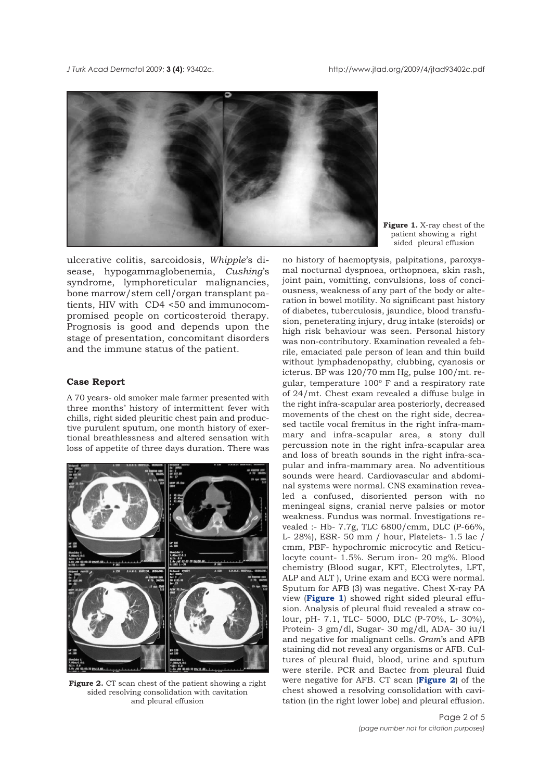*J Turk Acad Dermato*l 2009; **3 (4)**: 93402c. http://www.jtad.org/2009/4/jtad93402c.pdf



ulcerative colitis, sarcoidosis, *Whipple*'s disease, hypogammaglobenemia, *Cushing*'s syndrome, lymphoreticular malignancies, bone marrow/stem cell/organ transplant patients, HIV with CD4 <50 and immunocompromised people on corticosteroid therapy. Prognosis is good and depends upon the stage of presentation, concomitant disorders and the immune status of the patient.

#### **Case Report**

A 70 years- old smoker male farmer presented with three months' history of intermittent fever with chills, right sided pleuritic chest pain and productive purulent sputum, one month history of exertional breathlessness and altered sensation with loss of appetite of three days duration. There was



**Figure 2.** CT scan chest of the patient showing a right sided resolving consolidation with cavitation and pleural effusion

**Figure 1.** X-ray chest of the patient showing a right sided pleural effusion

no history of haemoptysis, palpitations, paroxysmal nocturnal dyspnoea, orthopnoea, skin rash, joint pain, vomitting, convulsions, loss of conciousness, weakness of any part of the body or alteration in bowel motility. No significant past history of diabetes, tuberculosis, jaundice, blood transfusion, peneterating injury, drug intake (steroids) or high risk behaviour was seen. Personal history was non-contributory. Examination revealed a febrile, emaciated pale person of lean and thin build without lymphadenopathy, clubbing, cyanosis or icterus. BP was 120/70 mm Hg, pulse 100/mt. regular, temperature  $100^{\circ}$  F and a respiratory rate of 24/mt. Chest exam revealed a diffuse bulge in the right infra-scapular area posteriorly, decreased movements of the chest on the right side, decreased tactile vocal fremitus in the right infra-mammary and infra-scapular area, a stony dull percussion note in the right infra-scapular area and loss of breath sounds in the right infra-scapular and infra-mammary area. No adventitious sounds were heard. Cardiovascular and abdominal systems were normal. CNS examination revealed a confused, disoriented person with no meningeal signs, cranial nerve palsies or motor weakness. Fundus was normal. Investigations revealed :- Hb- 7.7g, TLC 6800/cmm, DLC (P-66%, L- 28%), ESR- 50 mm / hour, Platelets- 1.5 lac / cmm, PBF- hypochromic microcytic and Reticulocyte count- 1.5%. Serum iron- 20 mg%. Blood chemistry (Blood sugar, KFT, Electrolytes, LFT, ALP and ALT ), Urine exam and ECG were normal. Sputum for AFB (3) was negative. Chest X-ray PA view (**Figure 1**) showed right sided pleural effusion. Analysis of pleural fluid revealed a straw colour, pH- 7.1, TLC- 5000, DLC (P-70%, L- 30%), Protein- 3 gm/dl, Sugar- 30 mg/dl, ADA- 30 iu/l and negative for malignant cells. *Gram*'s and AFB staining did not reveal any organisms or AFB. Cultures of pleural fluid, blood, urine and sputum were sterile. PCR and Bactec from pleural fluid were negative for AFB. CT scan (**Figure 2**) of the chest showed a resolving consolidation with cavitation (in the right lower lobe) and pleural effusion.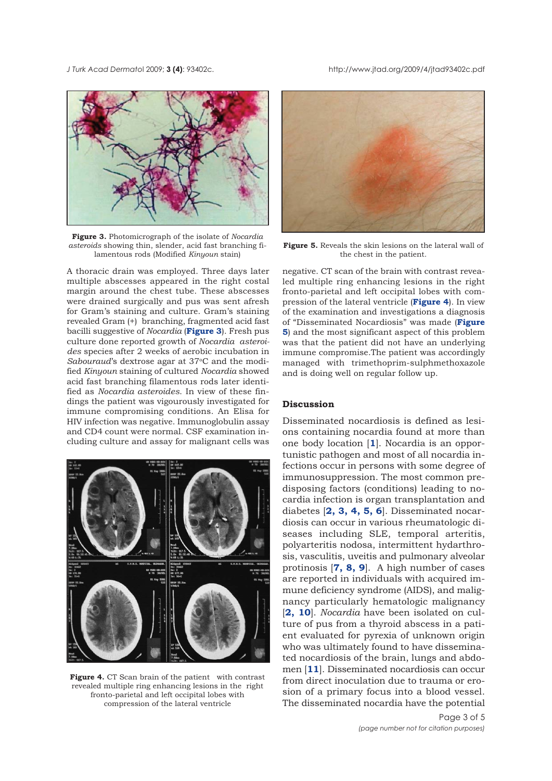*J Turk Acad Dermato*l 2009; **3 (4)**: 93402c. http://www.jtad.org/2009/4/jtad93402c.pdf



**Figure 3.** Photomicrograph of the isolate of *Nocardia asteroids* showing thin, slender, acid fast branching filamentous rods (Modified *Kinyoun* stain)

A thoracic drain was employed. Three days later multiple abscesses appeared in the right costal margin around the chest tube. These abscesses were drained surgically and pus was sent afresh for Gram's staining and culture. Gram's staining revealed Gram (+) branching, fragmented acid fast bacilli suggestive of *Nocardia* (**Figure 3**). Fresh pus culture done reported growth of *Nocardia asteroides* species after 2 weeks of aerobic incubation in *Sabouraud*'s dextrose agar at 37°C and the modified *Kinyoun* staining of cultured *Nocardia* showed acid fast branching filamentous rods later identified as *Nocardia asteroides*. In view of these findings the patient was vigourously investigated for immune compromising conditions. An Elisa for HIV infection was negative. Immunoglobulin assay and CD4 count were normal. CSF examination including culture and assay for malignant cells was



**Figure 4.** CT Scan brain of the patient with contrast revealed multiple ring enhancing lesions in the right fronto-parietal and left occipital lobes with compression of the lateral ventricle



**Figure 5.** Reveals the skin lesions on the lateral wall of the chest in the patient.

negative. CT scan of the brain with contrast revealed multiple ring enhancing lesions in the right fronto-parietal and left occipital lobes with compression of the lateral ventricle (**Figure 4**). In view of the examination and investigations a diagnosis of "Disseminated Nocardiosis" was made (**Figure 5**) and the most significant aspect of this problem was that the patient did not have an underlying immune compromise.The patient was accordingly managed with trimethoprim-sulphmethoxazole and is doing well on regular follow up.

## **Discussion**

Disseminated nocardiosis is defined as lesions containing nocardia found at more than one body location [**1**]. Nocardia is an opportunistic pathogen and most of all nocardia infections occur in persons with some degree of immunosuppression. The most common predisposing factors (conditions) leading to nocardia infection is organ transplantation and diabetes [**2, 3, 4, 5, 6**]. Disseminated nocardiosis can occur in various rheumatologic diseases including SLE, temporal arteritis, polyarteritis nodosa, intermittent hydarthrosis, vasculitis, uveitis and pulmonary alveolar protinosis [**7, 8, 9**]. A high number of cases are reported in individuals with acquired immune deficiency syndrome (AIDS), and malignancy particularly hematologic malignancy [**2, 10**]. *Nocardia* have been isolated on culture of pus from a thyroid abscess in a patient evaluated for pyrexia of unknown origin who was ultimately found to have disseminated nocardiosis of the brain, lungs and abdomen [**11**]. Disseminated nocardiosis can occur from direct inoculation due to trauma or erosion of a primary focus into a blood vessel. The disseminated nocardia have the potential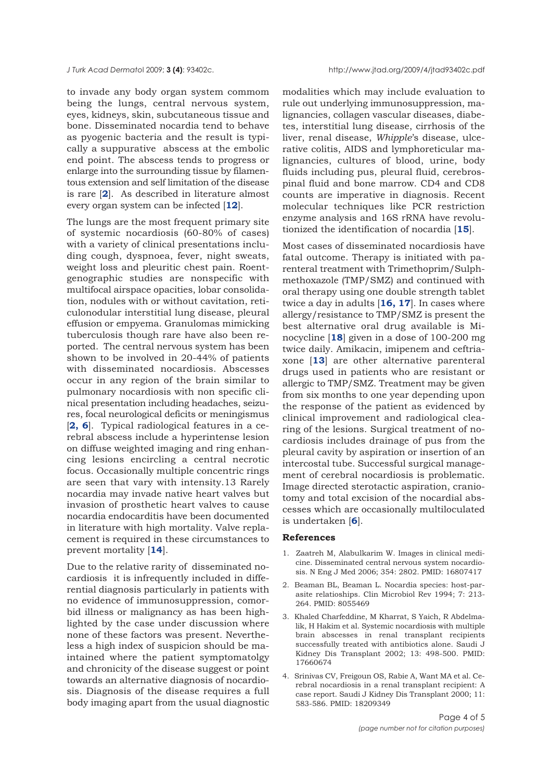to invade any body organ system commom being the lungs, central nervous system, eyes, kidneys, skin, subcutaneous tissue and bone. Disseminated nocardia tend to behave as pyogenic bacteria and the result is typically a suppurative abscess at the embolic end point. The abscess tends to progress or enlarge into the surrounding tissue by filamentous extension and self limitation of the disease is rare [**2**]. As described in literature almost every organ system can be infected [**12**].

The lungs are the most frequent primary site of systemic nocardiosis (60-80% of cases) with a variety of clinical presentations including cough, dyspnoea, fever, night sweats, weight loss and pleuritic chest pain. Roentgenographic studies are nonspecific with multifocal airspace opacities, lobar consolidation, nodules with or without cavitation, reticulonodular interstitial lung disease, pleural effusion or empyema. Granulomas mimicking tuberculosis though rare have also been reported. The central nervous system has been shown to be involved in 20-44% of patients with disseminated nocardiosis. Abscesses occur in any region of the brain similar to pulmonary nocardiosis with non specific clinical presentation including headaches, seizures, focal neurological deficits or meningismus [**2, 6**]. Typical radiological features in a cerebral abscess include a hyperintense lesion on diffuse weighted imaging and ring enhancing lesions encircling a central necrotic focus. Occasionally multiple concentric rings are seen that vary with intensity.13 Rarely nocardia may invade native heart valves but invasion of prosthetic heart valves to cause nocardia endocarditis have been documented in literature with high mortality. Valve replacement is required in these circumstances to prevent mortality [**14**].

Due to the relative rarity of disseminated nocardiosis it is infrequently included in differential diagnosis particularly in patients with no evidence of immunosuppression, comorbid illness or malignancy as has been highlighted by the case under discussion where none of these factors was present. Nevertheless a high index of suspicion should be maintained where the patient symptomatolgy and chronicity of the disease suggest or point towards an alternative diagnosis of nocardiosis. Diagnosis of the disease requires a full body imaging apart from the usual diagnostic

modalities which may include evaluation to rule out underlying immunosuppression, malignancies, collagen vascular diseases, diabetes, interstitial lung disease, cirrhosis of the liver, renal disease, *Whipple*'s disease, ulcerative colitis, AIDS and lymphoreticular malignancies, cultures of blood, urine, body fluids including pus, pleural fluid, cerebrospinal fluid and bone marrow. CD4 and CD8 counts are imperative in diagnosis. Recent molecular techniques like PCR restriction enzyme analysis and 16S rRNA have revolutionized the identification of nocardia [**15**].

Most cases of disseminated nocardiosis have fatal outcome. Therapy is initiated with parenteral treatment with Trimethoprim/Sulphmethoxazole (TMP/SMZ) and continued with oral therapy using one double strength tablet twice a day in adults [**16, 17**]. In cases where allergy/resistance to TMP/SMZ is present the best alternative oral drug available is Minocycline [**18**] given in a dose of 100-200 mg twice daily. Amikacin, imipenem and ceftriaxone [**13**] are other alternative parenteral drugs used in patients who are resistant or allergic to TMP/SMZ. Treatment may be given from six months to one year depending upon the response of the patient as evidenced by clinical improvement and radiological clearing of the lesions. Surgical treatment of nocardiosis includes drainage of pus from the pleural cavity by aspiration or insertion of an intercostal tube. Successful surgical management of cerebral nocardiosis is problematic. Image directed sterotactic aspiration, craniotomy and total excision of the nocardial abscesses which are occasionally multiloculated is undertaken [**6**].

#### **References**

- 1. Zaatreh M, Alabulkarim W. Images in clinical medicine. Disseminated central nervous system nocardiosis. N Eng J Med 2006; 354: 2802. PMID: 16807417
- 2. Beaman BL, Beaman L. Nocardia species: host-parasite relatioships. Clin Microbiol Rev 1994; 7: 213- 264. PMID: 8055469
- 3. Khaled Charfeddine, M Kharrat, S Yaich, R Abdelmalik, H Hakim et al. Systemic nocardiosis with multiple brain abscesses in renal transplant recipients successfully treated with antibiotics alone. Saudi J Kidney Dis Transplant 2002; 13: 498-500. PMID: 17660674
- 4. Srinivas CV, Freigoun OS, Rabie A, Want MA et al. Cerebral nocardiosis in a renal transplant recipient: A case report. Saudi J Kidney Dis Transplant 2000; 11: 583-586. PMID: 18209349